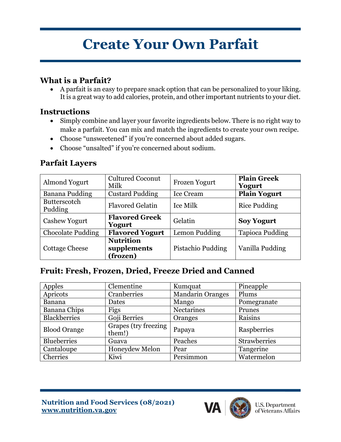# **Create Your Own Parfait**

## **What is a Parfait?**

• A parfait is an easy to prepare snack option that can be personalized to your liking. It is a great way to add calories, protein, and other important nutrients to your diet.

#### **Instructions**

- Simply combine and layer your favorite ingredients below. There is no right way to make a parfait. You can mix and match the ingredients to create your own recipe.
- Choose "unsweetened" if you're concerned about added sugars.
- Choose "unsalted" if you're concerned about sodium.

## **Parfait Layers**

| <b>Almond Yogurt</b>           | <b>Cultured Coconut</b><br>Milk             | <b>Frozen Yogurt</b> | <b>Plain Greek</b><br>Yogurt |
|--------------------------------|---------------------------------------------|----------------------|------------------------------|
| Banana Pudding                 | <b>Custard Pudding</b>                      | <b>Ice Cream</b>     | <b>Plain Yogurt</b>          |
| <b>Butterscotch</b><br>Pudding | <b>Flavored Gelatin</b>                     | Ice Milk             | <b>Rice Pudding</b>          |
| <b>Cashew Yogurt</b>           | <b>Flavored Greek</b><br>Yogurt             | Gelatin              | <b>Soy Yogurt</b>            |
| <b>Chocolate Pudding</b>       | <b>Flavored Yogurt</b>                      | Lemon Pudding        | <b>Tapioca Pudding</b>       |
| <b>Cottage Cheese</b>          | <b>Nutrition</b><br>supplements<br>(frozen) | Pistachio Pudding    | Vanilla Pudding              |

# **Fruit: Fresh, Frozen, Dried, Freeze Dried and Canned**

| Apples              | Clementine                     | Kumquat                 | Pineapple    |
|---------------------|--------------------------------|-------------------------|--------------|
| Apricots            | Cranberries                    | <b>Mandarin Oranges</b> | Plums        |
| <b>Banana</b>       | Dates                          | Mango                   | Pomegranate  |
| Banana Chips        | Figs                           | Nectarines              | Prunes       |
| <b>Blackberries</b> | Goji Berries                   | Oranges                 | Raisins      |
| <b>Blood Orange</b> | Grapes (try freezing<br>them!) | Papaya                  | Raspberries  |
| <b>Blueberries</b>  | Guava                          | Peaches                 | Strawberries |
| Cantaloupe          | Honeydew Melon                 | Pear                    | Tangerine    |
| Cherries            | Kiwi                           | Persimmon               | Watermelon   |

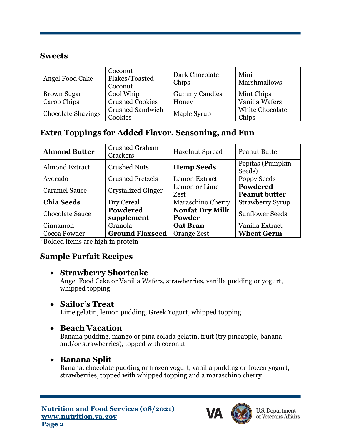#### **Sweets**

| Angel Food Cake           | Coconut<br>Flakes/Toasted<br>Coconut | Dark Chocolate<br>Chips | Mini<br>Marshmallows            |
|---------------------------|--------------------------------------|-------------------------|---------------------------------|
| <b>Brown Sugar</b>        | Cool Whip                            | <b>Gummy Candies</b>    | Mint Chips                      |
| Carob Chips               | <b>Crushed Cookies</b>               | Honey                   | Vanilla Wafers                  |
| <b>Chocolate Shavings</b> | <b>Crushed Sandwich</b><br>Cookies   | Maple Syrup             | <b>White Chocolate</b><br>Chips |

## **Extra Toppings for Added Flavor, Seasoning, and Fun**

| <b>Almond Butter</b>   | <b>Crushed Graham</b><br>Crackers | <b>Hazelnut Spread</b> | <b>Peanut Butter</b>       |
|------------------------|-----------------------------------|------------------------|----------------------------|
| <b>Almond Extract</b>  | <b>Crushed Nuts</b>               | <b>Hemp Seeds</b>      | Pepitas (Pumpkin<br>Seeds) |
| Avocado                | <b>Crushed Pretzels</b>           | Lemon Extract          | Poppy Seeds                |
| <b>Caramel Sauce</b>   | <b>Crystalized Ginger</b>         | Lemon or Lime          | <b>Powdered</b>            |
|                        |                                   | Zest                   | <b>Peanut butter</b>       |
| <b>Chia Seeds</b>      | Dry Cereal                        | Maraschino Cherry      | <b>Strawberry Syrup</b>    |
| <b>Chocolate Sauce</b> | Powdered                          | <b>Nonfat Dry Milk</b> | <b>Sunflower Seeds</b>     |
|                        | supplement                        | Powder                 |                            |
| Cinnamon               | Granola                           | <b>Oat Bran</b>        | Vanilla Extract            |
| Cocoa Powder           | <b>Ground Flaxseed</b>            | Orange Zest            | <b>Wheat Germ</b>          |

\*Bolded items are high in protein

## **Sample Parfait Recipes**

#### • **Strawberry Shortcake**

Angel Food Cake or Vanilla Wafers, strawberries, vanilla pudding or yogurt, whipped topping

#### • **Sailor's Treat**

Lime gelatin, lemon pudding, Greek Yogurt, whipped topping

## • **Beach Vacation**

Banana pudding, mango or pina colada gelatin, fruit (try pineapple, banana and/or strawberries), topped with coconut

#### • **Banana Split**

Banana, chocolate pudding or frozen yogurt, vanilla pudding or frozen yogurt, strawberries, topped with whipped topping and a maraschino cherry



U.S. Department<br>of Veterans Affairs